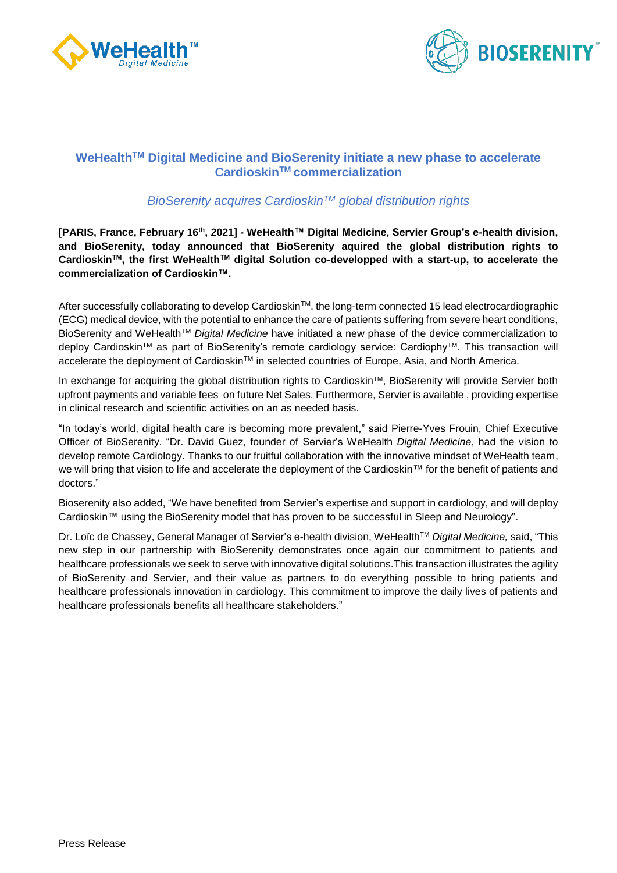



# **WeHealthTM Digital Medicine and BioSerenity initiate a new phase to accelerate CardioskinTM commercialization**

# *BioSerenity acquires CardioskinTM global distribution rights*

**[PARIS, France, February 16th, 2021] - WeHealth™ Digital Medicine, Servier Group's e-health division, and BioSerenity, today announced that BioSerenity aquired the global distribution rights to CardioskinTM, the first WeHealthTM digital Solution co-developped with a start-up, to accelerate the commercialization of Cardioskin™.**

After successfully collaborating to develop Cardioskin™, the long-term connected 15 lead electrocardiographic (ECG) medical device, with the potential to enhance the care of patients suffering from severe heart conditions, BioSerenity and WeHealthTM *Digital Medicine* have initiated a new phase of the device commercialization to deploy Cardioskin™ as part of BioSerenity's remote cardiology service: Cardiophy™. This transaction will accelerate the deployment of Cardioskin™ in selected countries of Europe, Asia, and North America.

In exchange for acquiring the global distribution rights to Cardioskin™, BioSerenity will provide Servier both upfront payments and variable fees on future Net Sales. Furthermore, Servier is available , providing expertise in clinical research and scientific activities on an as needed basis.

"In today's world, digital health care is becoming more prevalent," said Pierre-Yves Frouin, Chief Executive Officer of BioSerenity. "Dr. David Guez, founder of Servier's WeHealth *Digital Medicine*, had the vision to develop remote Cardiology. Thanks to our fruitful collaboration with the innovative mindset of WeHealth team, we will bring that vision to life and accelerate the deployment of the Cardioskin™ for the benefit of patients and doctors."

Bioserenity also added, "We have benefited from Servier's expertise and support in cardiology, and will deploy Cardioskin™ using the BioSerenity model that has proven to be successful in Sleep and Neurology".

Dr. Loïc de Chassey, General Manager of Servier's e-health division, WeHealthTM *Digital Medicine,* said, "This new step in our partnership with BioSerenity demonstrates once again our commitment to patients and healthcare professionals we seek to serve with innovative digital solutions.This transaction illustrates the agility of BioSerenity and Servier, and their value as partners to do everything possible to bring patients and healthcare professionals innovation in cardiology. This commitment to improve the daily lives of patients and healthcare professionals benefits all healthcare stakeholders."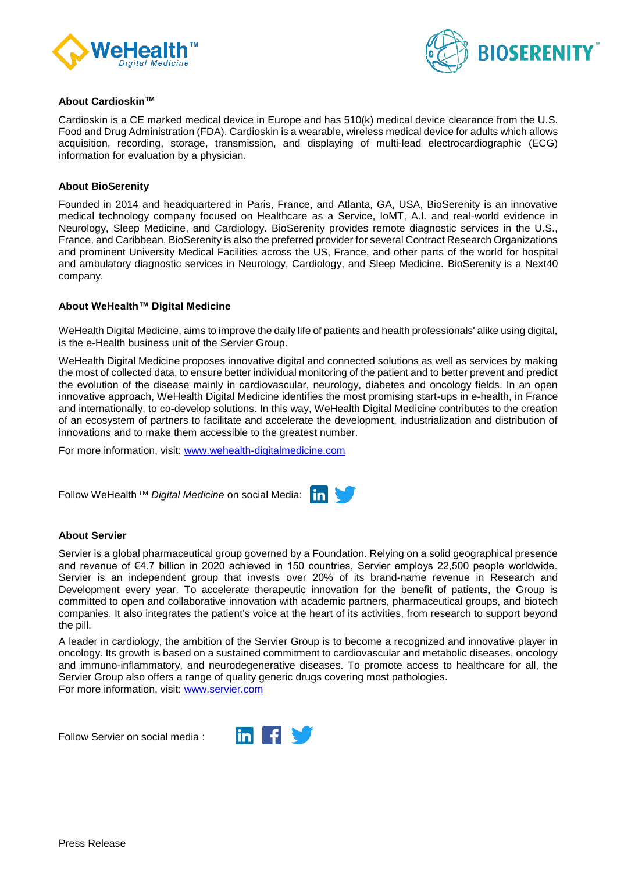



# **About CardioskinTM**

Cardioskin is a CE marked medical device in Europe and has 510(k) medical device clearance from the U.S. Food and Drug Administration (FDA). Cardioskin is a wearable, wireless medical device for adults which allows acquisition, recording, storage, transmission, and displaying of multi-lead electrocardiographic (ECG) information for evaluation by a physician.

## **About BioSerenity**

Founded in 2014 and headquartered in Paris, France, and Atlanta, GA, USA, BioSerenity is an innovative medical technology company focused on Healthcare as a Service, IoMT, A.I. and real-world evidence in Neurology, Sleep Medicine, and Cardiology. BioSerenity provides remote diagnostic services in the U.S., France, and Caribbean. BioSerenity is also the preferred provider for several Contract Research Organizations and prominent University Medical Facilities across the US, France, and other parts of the world for hospital and ambulatory diagnostic services in Neurology, Cardiology, and Sleep Medicine. BioSerenity is a Next40 company.

# **About WeHealth™ Digital Medicine**

WeHealth Digital Medicine, aims to improve the daily life of patients and health professionals' alike using digital, is the e-Health business unit of the Servier Group.

WeHealth Digital Medicine proposes innovative digital and connected solutions as well as services by making the most of collected data, to ensure better individual monitoring of the patient and to better prevent and predict the evolution of the disease mainly in cardiovascular, neurology, diabetes and oncology fields. In an open innovative approach, WeHealth Digital Medicine identifies the most promising start-ups in e-health, in France and internationally, to co-develop solutions. In this way, WeHealth Digital Medicine contributes to the creation of an ecosystem of partners to facilitate and accelerate the development, industrialization and distribution of innovations and to make them accessible to the greatest number.

For more information, visit: [www.wehealth-digitalmedicine.com](http://www.wehealth-digitalmedicine.com/)

Follow WeHealth TM *Digital Medicine* on social Media: l in l

# **About Servier**

Servier is a global pharmaceutical group governed by a Foundation. Relying on a solid geographical presence and revenue of €4.7 billion in 2020 achieved in 150 countries, Servier employs 22,500 people worldwide. Servier is an independent group that invests over 20% of its brand-name revenue in Research and Development every year. To accelerate therapeutic innovation for the benefit of patients, the Group is committed to open and collaborative innovation with academic partners, pharmaceutical groups, and biotech companies. It also integrates the patient's voice at the heart of its activities, from research to support beyond the pill.

A leader in cardiology, the ambition of the Servier Group is to become a recognized and innovative player in oncology. Its growth is based on a sustained commitment to cardiovascular and metabolic diseases, oncology and immuno-inflammatory, and neurodegenerative diseases. To promote access to healthcare for all, the Servier Group also offers a range of quality generic drugs covering most pathologies. For more information, visit: [www.servier.com](http://www.servier.com/)

Follow Servier on social media :